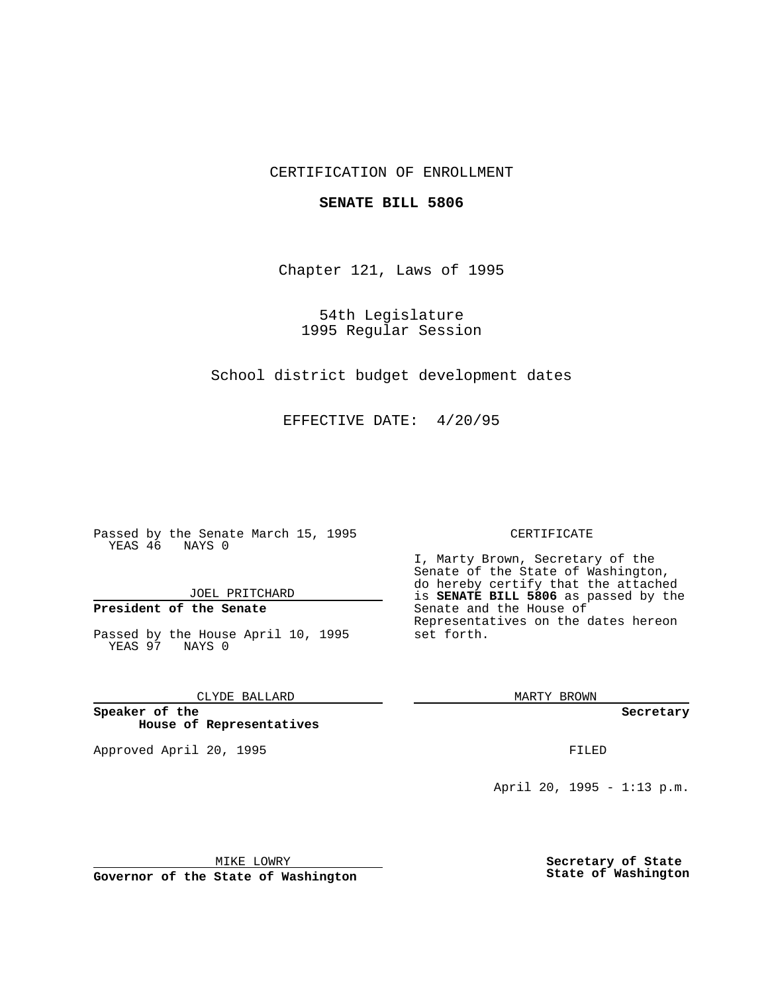### CERTIFICATION OF ENROLLMENT

### **SENATE BILL 5806**

Chapter 121, Laws of 1995

54th Legislature 1995 Regular Session

School district budget development dates

EFFECTIVE DATE: 4/20/95

Passed by the Senate March 15, 1995 YEAS 46 NAYS 0

JOEL PRITCHARD

## **President of the Senate**

Passed by the House April 10, 1995 YEAS 97 NAYS 0

CLYDE BALLARD

**Speaker of the House of Representatives**

Approved April 20, 1995 FILED

#### CERTIFICATE

I, Marty Brown, Secretary of the Senate of the State of Washington, do hereby certify that the attached is **SENATE BILL 5806** as passed by the Senate and the House of Representatives on the dates hereon set forth.

MARTY BROWN

**Secretary**

April 20, 1995 - 1:13 p.m.

MIKE LOWRY

**Governor of the State of Washington**

**Secretary of State State of Washington**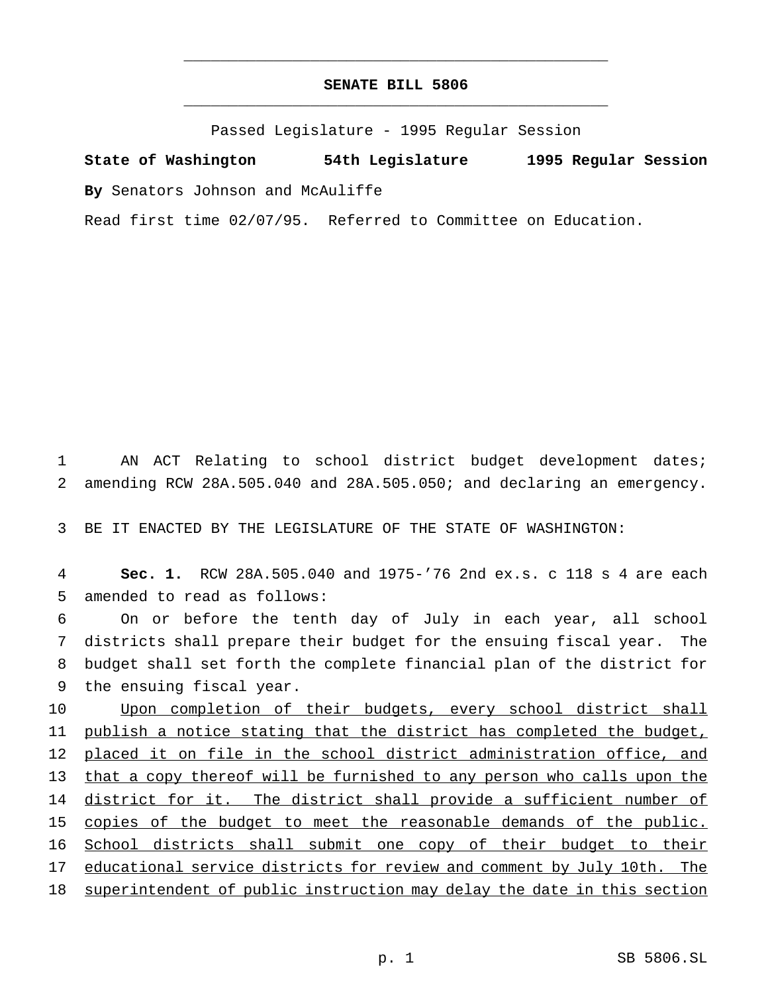# **SENATE BILL 5806** \_\_\_\_\_\_\_\_\_\_\_\_\_\_\_\_\_\_\_\_\_\_\_\_\_\_\_\_\_\_\_\_\_\_\_\_\_\_\_\_\_\_\_\_\_\_\_

\_\_\_\_\_\_\_\_\_\_\_\_\_\_\_\_\_\_\_\_\_\_\_\_\_\_\_\_\_\_\_\_\_\_\_\_\_\_\_\_\_\_\_\_\_\_\_

Passed Legislature - 1995 Regular Session

**State of Washington 54th Legislature 1995 Regular Session By** Senators Johnson and McAuliffe

Read first time 02/07/95. Referred to Committee on Education.

1 AN ACT Relating to school district budget development dates; 2 amending RCW 28A.505.040 and 28A.505.050; and declaring an emergency.

3 BE IT ENACTED BY THE LEGISLATURE OF THE STATE OF WASHINGTON:

4 **Sec. 1.** RCW 28A.505.040 and 1975-'76 2nd ex.s. c 118 s 4 are each 5 amended to read as follows:

 On or before the tenth day of July in each year, all school districts shall prepare their budget for the ensuing fiscal year. The budget shall set forth the complete financial plan of the district for the ensuing fiscal year.

10 Upon completion of their budgets, every school district shall 11 publish a notice stating that the district has completed the budget, 12 placed it on file in the school district administration office, and 13 that a copy thereof will be furnished to any person who calls upon the 14 district for it. The district shall provide a sufficient number of 15 copies of the budget to meet the reasonable demands of the public. 16 School districts shall submit one copy of their budget to their 17 educational service districts for review and comment by July 10th. The 18 superintendent of public instruction may delay the date in this section